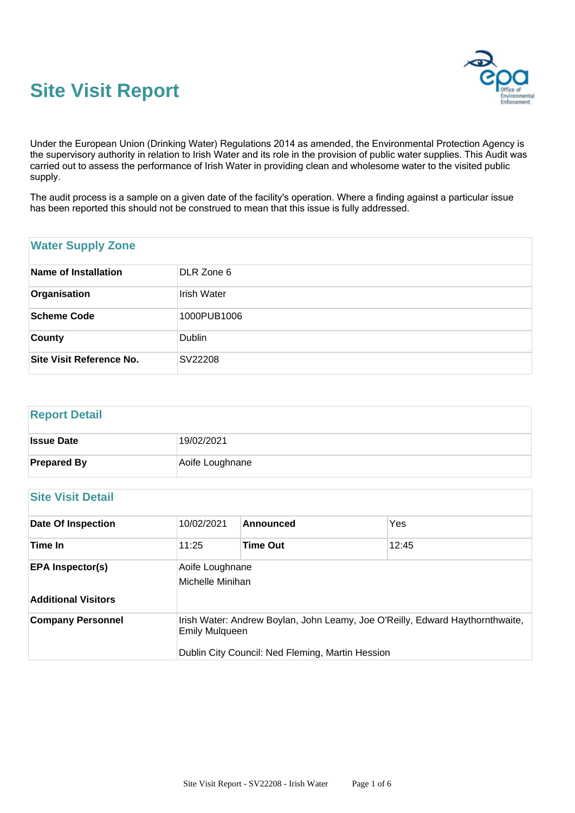



Under the European Union (Drinking Water) Regulations 2014 as amended, the Environmental Protection Agency is the supervisory authority in relation to Irish Water and its role in the provision of public water supplies. This Audit was carried out to assess the performance of Irish Water in providing clean and wholesome water to the visited public supply.

The audit process is a sample on a given date of the facility's operation. Where a finding against a particular issue has been reported this should not be construed to mean that this issue is fully addressed.

### **Water Supply Zone**

| Name of Installation     | DLR Zone 6         |
|--------------------------|--------------------|
| Organisation             | <b>Irish Water</b> |
| <b>Scheme Code</b>       | 1000PUB1006        |
| <b>County</b>            | Dublin             |
| Site Visit Reference No. | SV22208            |

# **Report Detail Issue Date** 19/02/2021 **Prepared By** Aoife Loughnane

## **Site Visit Detail**

| <b>Date Of Inspection</b>  | 10/02/2021                                                                                                                                                 | Announced       | Yes   |
|----------------------------|------------------------------------------------------------------------------------------------------------------------------------------------------------|-----------------|-------|
| Time In                    | 11:25                                                                                                                                                      | <b>Time Out</b> | 12:45 |
| <b>EPA Inspector(s)</b>    | Aoife Loughnane<br>Michelle Minihan                                                                                                                        |                 |       |
| <b>Additional Visitors</b> |                                                                                                                                                            |                 |       |
| <b>Company Personnel</b>   | Irish Water: Andrew Boylan, John Leamy, Joe O'Reilly, Edward Haythornthwaite,<br><b>Emily Mulqueen</b><br>Dublin City Council: Ned Fleming, Martin Hession |                 |       |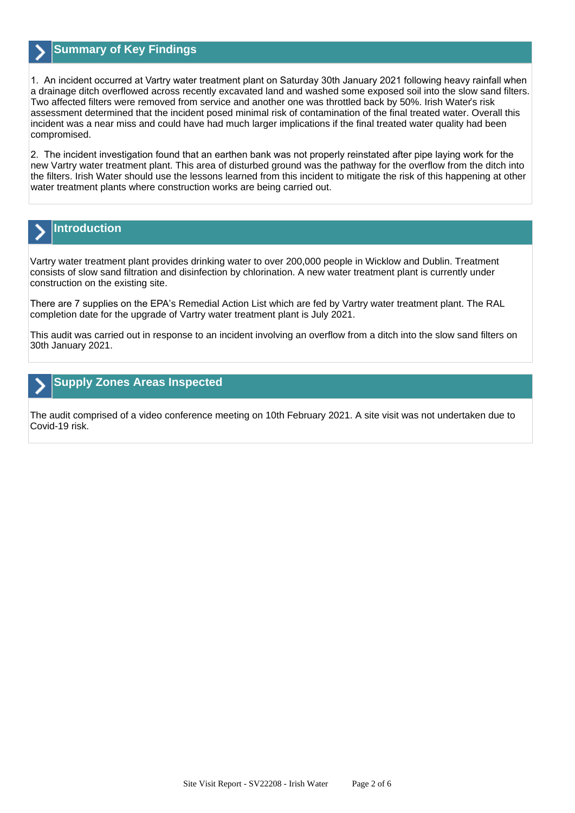

### **Summary of Key Findings**

1. An incident occurred at Vartry water treatment plant on Saturday 30th January 2021 following heavy rainfall when a drainage ditch overflowed across recently excavated land and washed some exposed soil into the slow sand filters. Two affected filters were removed from service and another one was throttled back by 50%. Irish Water's risk assessment determined that the incident posed minimal risk of contamination of the final treated water. Overall this incident was a near miss and could have had much larger implications if the final treated water quality had been compromised.

2. The incident investigation found that an earthen bank was not properly reinstated after pipe laying work for the new Vartry water treatment plant. This area of disturbed ground was the pathway for the overflow from the ditch into the filters. Irish Water should use the lessons learned from this incident to mitigate the risk of this happening at other water treatment plants where construction works are being carried out.



# **Introduction**

Vartry water treatment plant provides drinking water to over 200,000 people in Wicklow and Dublin. Treatment consists of slow sand filtration and disinfection by chlorination. A new water treatment plant is currently under construction on the existing site.

There are 7 supplies on the EPA's Remedial Action List which are fed by Vartry water treatment plant. The RAL completion date for the upgrade of Vartry water treatment plant is July 2021.

This audit was carried out in response to an incident involving an overflow from a ditch into the slow sand filters on 30th January 2021.

#### **Supply Zones Areas Inspected**

The audit comprised of a video conference meeting on 10th February 2021. A site visit was not undertaken due to Covid-19 risk.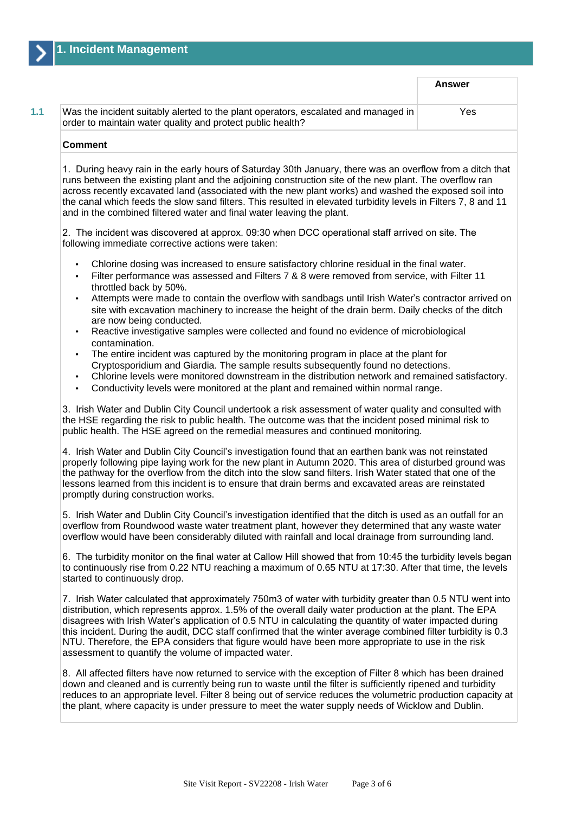|                                                                                                                                                  | <b>Answer</b> |
|--------------------------------------------------------------------------------------------------------------------------------------------------|---------------|
| Was the incident suitably alerted to the plant operators, escalated and managed in<br>order to maintain water quality and protect public health? | Yes           |

#### **Comment**

1. During heavy rain in the early hours of Saturday 30th January, there was an overflow from a ditch that runs between the existing plant and the adjoining construction site of the new plant. The overflow ran across recently excavated land (associated with the new plant works) and washed the exposed soil into the canal which feeds the slow sand filters. This resulted in elevated turbidity levels in Filters 7, 8 and 11 and in the combined filtered water and final water leaving the plant.

2. The incident was discovered at approx. 09:30 when DCC operational staff arrived on site. The following immediate corrective actions were taken:

- Chlorine dosing was increased to ensure satisfactory chlorine residual in the final water.
- Filter performance was assessed and Filters 7 & 8 were removed from service, with Filter 11 throttled back by 50%.
- Attempts were made to contain the overflow with sandbags until Irish Water's contractor arrived on site with excavation machinery to increase the height of the drain berm. Daily checks of the ditch are now being conducted.
- Reactive investigative samples were collected and found no evidence of microbiological contamination.
- The entire incident was captured by the monitoring program in place at the plant for Cryptosporidium and Giardia. The sample results subsequently found no detections.
- Chlorine levels were monitored downstream in the distribution network and remained satisfactory.
- Conductivity levels were monitored at the plant and remained within normal range.

3. Irish Water and Dublin City Council undertook a risk assessment of water quality and consulted with the HSE regarding the risk to public health. The outcome was that the incident posed minimal risk to public health. The HSE agreed on the remedial measures and continued monitoring.

4. Irish Water and Dublin City Council's investigation found that an earthen bank was not reinstated properly following pipe laying work for the new plant in Autumn 2020. This area of disturbed ground was the pathway for the overflow from the ditch into the slow sand filters. Irish Water stated that one of the lessons learned from this incident is to ensure that drain berms and excavated areas are reinstated promptly during construction works.

5. Irish Water and Dublin City Council's investigation identified that the ditch is used as an outfall for an overflow from Roundwood waste water treatment plant, however they determined that any waste water overflow would have been considerably diluted with rainfall and local drainage from surrounding land.

6. The turbidity monitor on the final water at Callow Hill showed that from 10:45 the turbidity levels began to continuously rise from 0.22 NTU reaching a maximum of 0.65 NTU at 17:30. After that time, the levels started to continuously drop.

7. Irish Water calculated that approximately 750m3 of water with turbidity greater than 0.5 NTU went into distribution, which represents approx. 1.5% of the overall daily water production at the plant. The EPA disagrees with Irish Water's application of 0.5 NTU in calculating the quantity of water impacted during this incident. During the audit, DCC staff confirmed that the winter average combined filter turbidity is 0.3 NTU. Therefore, the EPA considers that figure would have been more appropriate to use in the risk assessment to quantify the volume of impacted water.

8. All affected filters have now returned to service with the exception of Filter 8 which has been drained down and cleaned and is currently being run to waste until the filter is sufficiently ripened and turbidity reduces to an appropriate level. Filter 8 being out of service reduces the volumetric production capacity at the plant, where capacity is under pressure to meet the water supply needs of Wicklow and Dublin.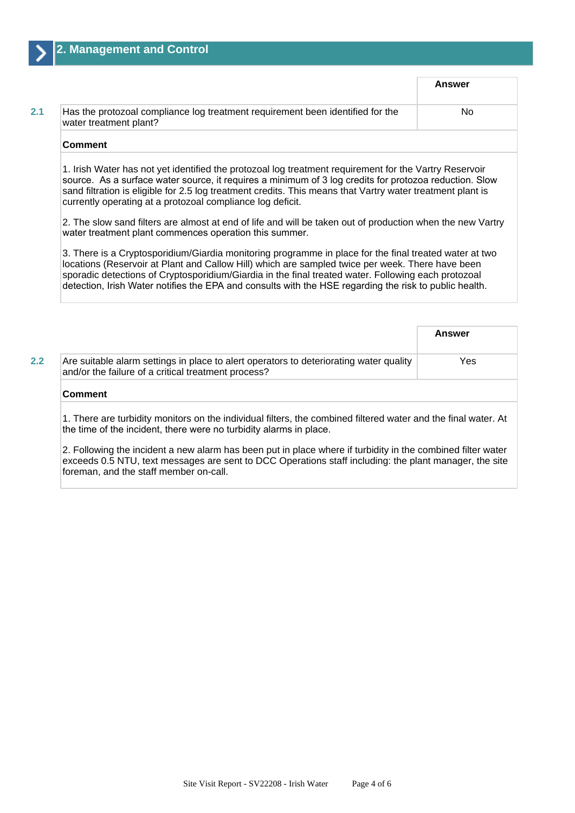|                                                                                                                                                                                                                                                                                                                                                  |                                                                                | Answer |
|--------------------------------------------------------------------------------------------------------------------------------------------------------------------------------------------------------------------------------------------------------------------------------------------------------------------------------------------------|--------------------------------------------------------------------------------|--------|
| water treatment plant?                                                                                                                                                                                                                                                                                                                           | Has the protozoal compliance log treatment requirement been identified for the | No     |
|                                                                                                                                                                                                                                                                                                                                                  |                                                                                |        |
| <b>Comment</b><br>1. Irish Water has not yet identified the protozoal log treatment requirement for the Vartry Reservoir<br>source. As a surface water source, it requires a minimum of 3 log credits for protozoa reduction. Slow<br>sand filtration is eligible for 2.5 log treatment credits. This means that Vartry water treatment plant is |                                                                                |        |

2. The slow sand filters are almost at end of life and will be taken out of production when the new Vartry water treatment plant commences operation this summer.

3. There is a Cryptosporidium/Giardia monitoring programme in place for the final treated water at two locations (Reservoir at Plant and Callow Hill) which are sampled twice per week. There have been sporadic detections of Cryptosporidium/Giardia in the final treated water. Following each protozoal detection, Irish Water notifies the EPA and consults with the HSE regarding the risk to public health.

|                                                                                                                                               | <b>Answer</b> |
|-----------------------------------------------------------------------------------------------------------------------------------------------|---------------|
| Are suitable alarm settings in place to alert operators to deteriorating water quality<br>and/or the failure of a critical treatment process? | Yes           |
| <b>Comment</b>                                                                                                                                |               |

1. There are turbidity monitors on the individual filters, the combined filtered water and the final water. At the time of the incident, there were no turbidity alarms in place.

2. Following the incident a new alarm has been put in place where if turbidity in the combined filter water exceeds 0.5 NTU, text messages are sent to DCC Operations staff including: the plant manager, the site foreman, and the staff member on-call.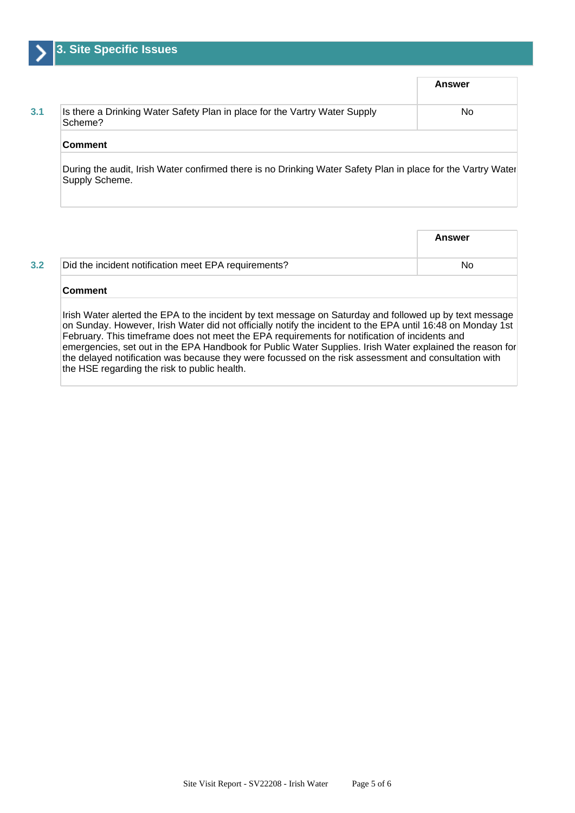|                                                                                       | <b>Answer</b> |
|---------------------------------------------------------------------------------------|---------------|
| Is there a Drinking Water Safety Plan in place for the Vartry Water Supply<br>Scheme? | No            |
| <b>Comment</b>                                                                        |               |

During the audit, Irish Water confirmed there is no Drinking Water Safety Plan in place for the Vartry Water Supply Scheme.

|     |                                                      | Answer |
|-----|------------------------------------------------------|--------|
| 3.2 | Did the incident notification meet EPA requirements? | No     |
|     |                                                      |        |

#### **Comment**

Irish Water alerted the EPA to the incident by text message on Saturday and followed up by text message on Sunday. However, Irish Water did not officially notify the incident to the EPA until 16:48 on Monday 1st February. This timeframe does not meet the EPA requirements for notification of incidents and emergencies, set out in the EPA Handbook for Public Water Supplies. Irish Water explained the reason for the delayed notification was because they were focussed on the risk assessment and consultation with the HSE regarding the risk to public health.